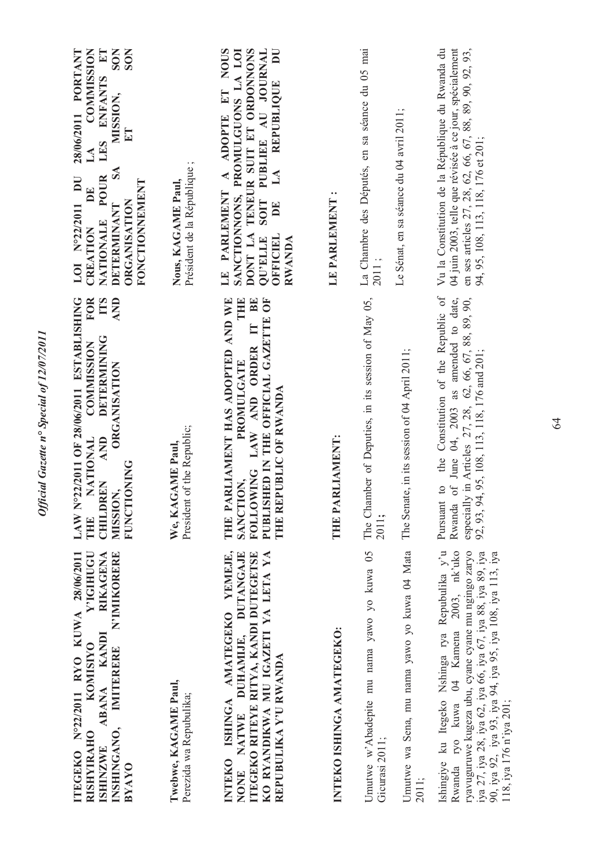| Y'IGHUGU<br>ITEGEKO N°22/2011 RYO KUWA 28/06/2011<br><b>RIKAGENA</b><br>N'IMIKORERE<br><b>KANDI</b><br><b>KOMISIYO</b><br>IMITERERE<br><b>ABANA</b><br>INSHINGANO,<br><b>RISHYIRAHO</b><br><b>ISHINZWE</b><br>BYAYO                                                                                     | LAW N°22/2011 OF 28/06/2011 ESTABLISHING<br><b>FOR</b><br><b>TTS</b><br><b>AND</b><br><b>DETERMINING</b><br><b>COMMISSION</b><br><b>ORGANISATION</b><br><b>NATIONAL</b><br>AND<br><b>FUNCTIONING</b><br><b>CHILDREN</b><br><b>MUSSION</b><br>THE | <b>COMMISSION</b><br>28/06/2011 PORTANT<br>LES ENFANTS ET<br><b>SON</b><br><b>SON</b><br>MISSION,<br>ET<br>LA<br>SA<br><b>POUR</b><br>LOI N°22/2011 DU<br>FONCTIONNEMENT<br>DE<br>ORGANISATION<br>DETERMINANT<br>NATIONALE<br>CREATION |
|---------------------------------------------------------------------------------------------------------------------------------------------------------------------------------------------------------------------------------------------------------------------------------------------------------|--------------------------------------------------------------------------------------------------------------------------------------------------------------------------------------------------------------------------------------------------|----------------------------------------------------------------------------------------------------------------------------------------------------------------------------------------------------------------------------------------|
| Twebwe, KAGAME Paul,<br>Perezida wa Repubulika;                                                                                                                                                                                                                                                         | President of the Republic;<br>We, KAGAME Paul,                                                                                                                                                                                                   | Président de la République;<br>Nous, KAGAME Paul,                                                                                                                                                                                      |
| ISHINGA AMATEGEKO YEMEJE,<br>KO RYANDIKWA MU IGAZETI YA LETA YA<br>DUHAMIJE, DUTANGAJE<br>ITEGEKO RITEYE RITYA, KANDI DUTEGETSE<br>REPUBULIKA Y'U RWANDA<br><b>NATWE</b><br><b>INTEKO</b><br>NONE                                                                                                       | THE PARLIAMENT HAS ADOPTED AND WE<br>PUBLISHED IN THE OFFICIAL GAZETTE OF<br>THE<br>BE<br>$\mathbb{H}$<br>FOLLOWING LAW AND ORDER<br>PROMULGATE<br>THE REPUBLIC OF RWANDA<br>SANCTION,                                                           | A ADOPTE ET NOUS<br>SANCTIONNONS, PROMULGUONS LA LOI<br>DONT LA TENEUR SUIT ET ORDONNONS<br>SOIT PUBLIEE AU JOURNAL<br>DU<br>LA REPUBLIQUE<br>LE PARLEMENT<br>DE<br>OFFICIEL<br>QU'ELLE<br><b>RWANDA</b>                               |
| INTEKO ISHINGA AMATEGEKO:                                                                                                                                                                                                                                                                               | <b>LIAMENT:</b><br>THE PAR                                                                                                                                                                                                                       | $\ddot{\phantom{0}}$<br>LE PARLEMENT                                                                                                                                                                                                   |
| Umutwe w'Abadepite mu nama yawo yo kuwa 05<br>Gicurasi 2011;                                                                                                                                                                                                                                            | The Chamber of Deputies, in its session of May 05,<br>2011;                                                                                                                                                                                      | La Chambre des Députés, en sa séance du 05 mai<br>2011;                                                                                                                                                                                |
| Umutwe wa Sena, mu nama yawo yo kuwa 04 Mata<br>2011;                                                                                                                                                                                                                                                   | The Senate, in its session of 04 April 2011;                                                                                                                                                                                                     | Le Sénat, en sa séance du 04 avril 2011;                                                                                                                                                                                               |
| Ishingiye ku Itegeko Nshinga rya Repubulika y'u<br>Rwanda ryo kuwa 04 Kamena 2003, nk'uko<br>ryavuguruwe kugeza ubu, cyane cyane mu ngingo zaryo<br>iya 27, iya 28, iya 62, iya 66, iya 67, iya 88, iya 89, iya<br>90, iya 92, iya 93, iya 94, iya 95, iya 108, iya 113, iya<br>118, iya 176 n'iya 201; | the Constitution of the Republic of<br>of June 04, 2003 as amended to date,<br><i>i</i> in Articles 27, 28, 62, 66, 67, 88, 89, 90,<br>95, 108, 113, 118, 176 and 201;<br>$\overline{c}$<br>92, 93, 94,<br>especially<br>Pursuant<br>Rwanda      | Vu la Constitution de la République du Rwanda du<br>04 juin 2003, telle que révisée à ce jour, spécialement<br>en ses articles 27, 28, 62, 66, 67, 88, 89, 90, 92, 93,<br>94, 95, 108, 113, 118, 176 et 201;                           |

Official Gazette n° Special of 12/07/2011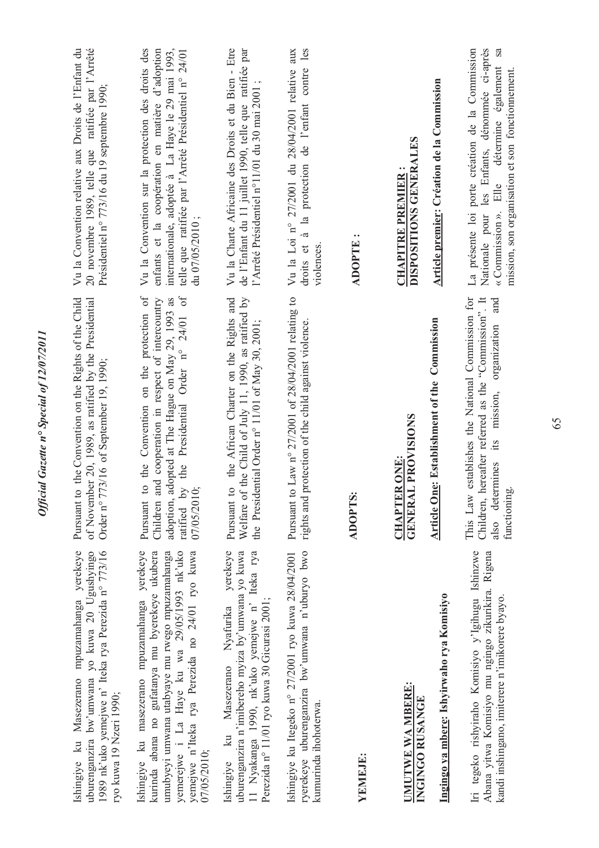| Ishingiye ku Masezerano mpuzamahanga yerekeye<br>uburenganzira bw'umwana yo kuwa 20 Ugushyingo<br>1989 nk'uko yemejwe n' Iteka rya Perezida nº 773/16<br>ryo kuwa 19 Nzeri 1990;                                                                                   | of November 20, 1989, as ratified by the Presidential<br>the Convention on the Rights of the Child<br>Order n° 773/16 of September 19, 1990;<br>Pursuant to                                                                    | Vu la Convention relative aux Droits de l'Enfant du<br>20 novembre 1989, telle que ratifiée par l'Arrêté<br>Présidentiel nº 773/16 du 19 septembre 1990;                                                                             |
|--------------------------------------------------------------------------------------------------------------------------------------------------------------------------------------------------------------------------------------------------------------------|--------------------------------------------------------------------------------------------------------------------------------------------------------------------------------------------------------------------------------|--------------------------------------------------------------------------------------------------------------------------------------------------------------------------------------------------------------------------------------|
| yemejwe n'Iteka rya Perezida no 24/01 ryo kuwa<br>Ishingiye ku masezerano mpuzamahanga yerekeye<br>kurinda abana no gufatanya mu byerekeye ukubera<br>umubyeyi umwana utabyaye mu rwego mpuzamahanga<br>yemerejwe i La Haye ku wa 29/05/1993 nk'uko<br>07/05/2010; | the Presidential Order n° 24/01 of<br>Pursuant to the Convention on the protection of<br>Children and cooperation in respect of intercountry<br>adoption, adopted at The Hague on May 29, 1993 as<br>ratified by<br>07/05/2010 | internationale, adoptée à La Haye le 29 mai 1993,<br>Vu la Convention sur la protection des droits des<br>enfants et la coopération en matière d'adoption<br>telle que ratifiée par l'Arrêté Présidentiel n° 24/01<br>du 07/05/2010; |
| yerekeye<br>uburenganzira n'imibereho myiza by'umwana yo kuwa<br>11 Nyakanga 1990, nk'uko yemejwe n' Iteka rya<br>Perezida nº 11/01 ryo kuwa 30 Gicurasi 2001;<br>Ishingiye ku Masezerano Nyafurika                                                                | Welfare of the Child of July 11, 1990, as ratified by<br>the African Charter on the Rights and<br>ntial Order n° 11/01 of May 30, 2001;<br>Pursuant to<br>the Preside                                                          | Vu la Charte Africaine des Droits et du Bien - Etre<br>de l'Enfant du 11 juillet 1990, telle que ratifiée par<br>l'Arrêté Présidentiel n°11/01 du 30 mai 2001;                                                                       |
| ryerekeye uburenganzira bw'umwana n'uburyo bwo<br>Ishingiye ku Itegeko n° 27/2001 ryo kuwa 28/04/2001<br>kumurinda ihohoterwa.                                                                                                                                     | Pursuant to Law n° 27/2001 of 28/04/2001 relating to<br>rights and protection of the child against violence.                                                                                                                   | les<br>Vu la Loi nº 27/2001 du 28/04/2001 relative aux<br>droits et à la protection de l'enfant contre<br>violences.                                                                                                                 |
| YEMEJE:                                                                                                                                                                                                                                                            | ADOPTS:                                                                                                                                                                                                                        | <b>ADOPTE</b>                                                                                                                                                                                                                        |
| Ingingo ya mbere: Ishyirwaho rya Komisiyo<br>UMUTWE WA MBERE:<br>INGINGO RUSANGE                                                                                                                                                                                   | <b>Article One: Establishment of the Commission</b><br>GENERAL PROVISIONS<br><b>CHAPTER ONE:</b>                                                                                                                               | Article premier: Création de la Commission<br>DISPOSITIONS GENERALES<br><b>CHAPITRE PREMIER:</b>                                                                                                                                     |
| Iri tegeko rishyiraho Komisiyo y'Igihugu Ishinzwe<br>Abana yitwa Komisiyo mu ngingo zikurikira. Rigena<br>kandi inshingano, imiterere n'imikorere byayo.                                                                                                           | establishes the National Commission for<br>Children, hereafter referred as the "Commission". It<br>and<br>organization<br>mission,<br>its<br>also determines<br>functioning<br>This Law                                        | les Enfants, dénommée ci-après<br>La présente loi porte création de la Commission<br>sa<br>détermine également<br>mission, son organisation et son fonctionnement.<br>Elle<br>$\triangleleft$ Commission ».<br>Nationale pour        |

Official Gazette nº Special of 12/07/2011 *Official Gazette n° Special of 12/07/2011*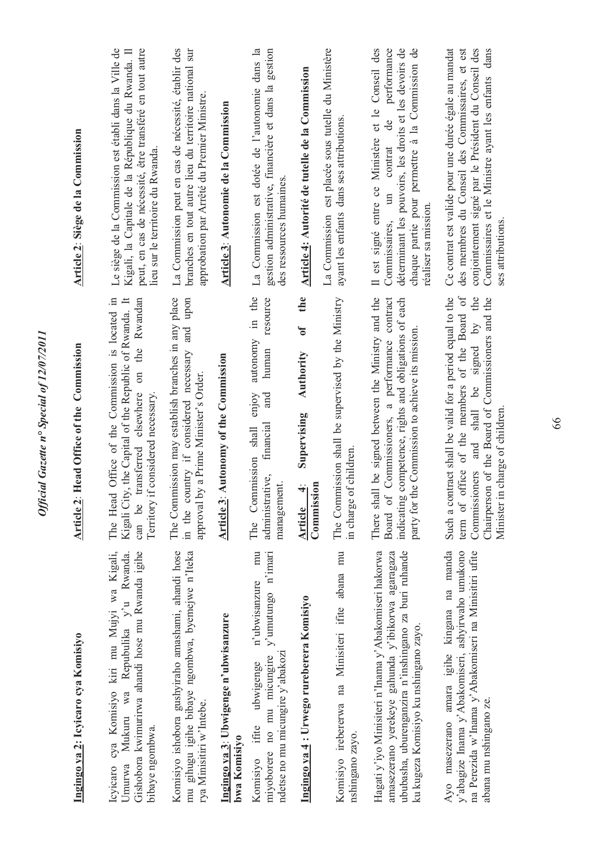| Ingingo ya 2: Icyicaro cya Komisiyo                                                                                                                                                                         | Article 2: Head Office of the Commission                                                                                                                                                                                                        | Article 2: Siège de la Commission                                                                                                                                                                                                          |
|-------------------------------------------------------------------------------------------------------------------------------------------------------------------------------------------------------------|-------------------------------------------------------------------------------------------------------------------------------------------------------------------------------------------------------------------------------------------------|--------------------------------------------------------------------------------------------------------------------------------------------------------------------------------------------------------------------------------------------|
| Icyicaro cya Komisiyo kiri mu Mujyi wa Kigali,<br>Gishobora kwimurirwa ahandi hose mu Rwanda igihe<br>Mukuru wa Repubulika y'u Rwanda.<br>bibaye ngombwa.<br>Umurwa                                         | Office of the Commission is located in<br>Kigali City, the Capital of the Republic of Rwanda. It<br>the Rwandan<br>$\sin$<br>can be transferred elsewhere<br>Territory if considered necessary<br>The Head                                      | Le siège de la Commission est établi dans la Ville de<br>peut, en cas de nécessité, être transféré en tout autre<br>Kigali, la Capitale de la République du Rwanda. Il<br>lieu sur le territoire du Rwanda.                                |
| Komisiyo ishobora gushyiraho amashami, ahandi hose<br>mu gihugu igihe bibaye ngombwa, byemejwe n'Iteka<br>rya Minisitiri w'Intebe.                                                                          | The Commission may establish branches in any place<br>in the country if considered necessary and upon<br>approval by a Prime Minister's Order.                                                                                                  | La Commission peut en cas de nécessité, établir des<br>branches en tout autre lieu du territoire national sur<br>approbation par Arrêté du Premier Ministre.                                                                               |
| Ingingo ya 3: Ubwigenge n'ubwisanzure<br>bwa Komisiyo                                                                                                                                                       | Article 3: Autonomy of the Commission                                                                                                                                                                                                           | Article 3: Autonomie de la Commission                                                                                                                                                                                                      |
| mu<br>y'umutungo n'imari<br>n'ubwisanzure<br>ndetse no mu micungire y'abakoz<br>miyoborere no mu micungire<br>ubwigenge<br>ifite<br>Komisiyo                                                                | in the<br>resource<br>autonomy<br>human<br>enjoy<br>and<br>financial<br>The Commission shall<br>administrative,<br>management.                                                                                                                  | La Commission est dotée de l'autonomie dans la<br>gestion administrative, financière et dans la gestion<br>des ressources humaines.                                                                                                        |
| Ingingo ya 4: Urwego rureberera Komisiyo                                                                                                                                                                    | the<br>$\mathfrak{b}$<br>Authority<br>Supervising<br>Commission<br>ना<br>Article                                                                                                                                                                | Article 4: Autorité de tutelle de la Commission                                                                                                                                                                                            |
| Komisiyo irebererwa na Minisiteri ifite abana mu<br>nshingano zayo.                                                                                                                                         | The Commission shall be supervised by the Ministry<br>in charge of children.                                                                                                                                                                    | La Commission est placée sous tutelle du Ministère<br>ayant les enfants dans ses attributions.                                                                                                                                             |
| Hagati y'iyo Minisiteri n'Inama y'Abakomiseri hakorwa<br>ububasha, uburenganzira n'inshingano za buri ruhande<br>amasezerano yerekeye gahunda y'ibikorwa agaragaza<br>ku kugeza Komisiyo ku nshingano zayo. | There shall be signed between the Ministry and the<br>Commissioners, a performance contract<br>competence, rights and obligations of each<br>e Commission to achieve its mission.<br>party for th<br>indicating<br>Board of                     | déterminant les pouvoirs, les droits et les devoirs de<br>chaque partie pour permettre à la Commission de<br>Il est signé entre ce Ministère et le Conseil des<br>performance<br>de<br>contrat<br>Commissaires, un<br>réaliser sa mission. |
| Ayo masezerano amara igihe kingana na manda<br>na Perezida w'Inama y'Abakomiseri na Minisitiri ufite<br>y'abagize Inama y'Abakomiseri, ashyirwaho umukono<br>abana mu nshingano ze                          | Such a contract shall be valid for a period equal to the<br>term of office of the members of the Board of<br>Commissioners and shall be signed by the<br>Chairperson of the Board of Commissioners and the<br>charge of children<br>Minister in | conjointement signé par le Président du Conseil des<br>Ce contrat est valide pour une durée égale au mandat<br>des membres du Conseil des Commissaires, et est<br>Commissaires et le Ministre ayant les enfants dans<br>ses attributions.  |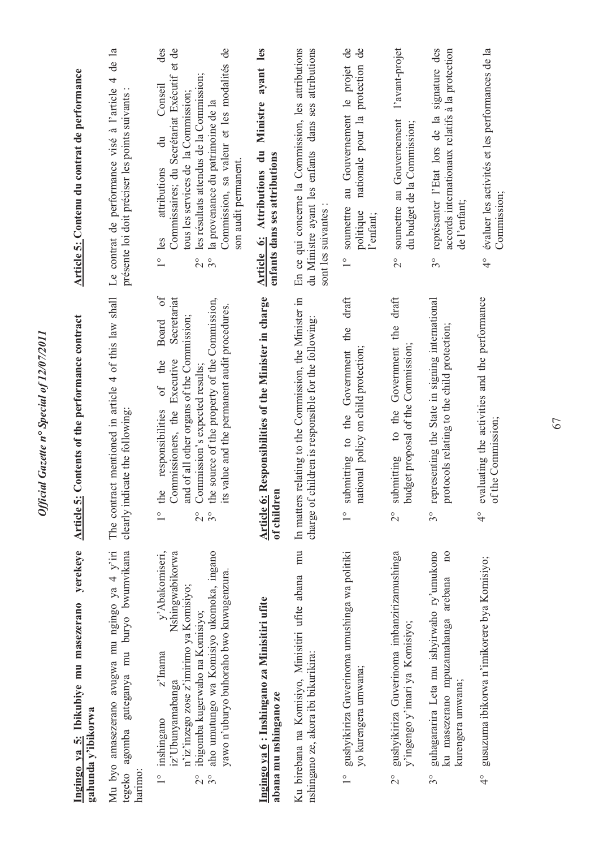| Article 5: Contenu du contrat de performance                            | Le contrat de performance visé à l'article 4 de la<br>présente loi doit préciser les points suivants :   | des<br>Commissaires; du Secrétariat Exécutif et de<br>Commission, sa valeur et les modalités de<br>les résultats attendus de la Commission;<br>Conseil<br>tous les services de la Commission;<br>la provenance du patrimoine de la<br>$\ddot{a}$<br>son audit permanent.<br>attributions<br>les<br>$3^\circ$<br>$\overset{\circ}{\phantom{0}}$<br>$\overline{C}$<br>$\sigma f$ | les<br>ayant<br>Ministre<br>Attributions du<br>enfants dans ses attributions<br>Article 6: | En ce qui concerne la Commission, les attributions<br>attributions<br>dans ses<br>du Ministre ayant les enfants<br>sont les suivantes : | de<br>ಕೆ<br>nationale pour la protection<br>au Gouvernement le projet<br>soumettre<br>politique<br>l'enfant;<br>$\overset{\circ}{\phantom{0}}$<br>draft | l'avant-projet<br>soumettre au Gouvernement<br>du budget de la Commission;<br>$\overline{2}^{\circ}$<br>draft | signature des<br>accords internationaux relatifs à la protection<br>représenter l'Etat lors de la<br>de l'enfant;<br>$3^{\circ}$          | évaluer les activités et les performances de la<br>Commission;<br>$\frac{1}{4}$      |
|-------------------------------------------------------------------------|----------------------------------------------------------------------------------------------------------|--------------------------------------------------------------------------------------------------------------------------------------------------------------------------------------------------------------------------------------------------------------------------------------------------------------------------------------------------------------------------------|--------------------------------------------------------------------------------------------|-----------------------------------------------------------------------------------------------------------------------------------------|---------------------------------------------------------------------------------------------------------------------------------------------------------|---------------------------------------------------------------------------------------------------------------|-------------------------------------------------------------------------------------------------------------------------------------------|--------------------------------------------------------------------------------------|
| Contents of the performance contract<br><b>Article 5:</b>               | The contract mentioned in article 4 of this law shall<br>clearly indicate the following:                 | Secretariat<br>the source of the property of the Commission,<br>value and the permanent audit procedures.<br>and of all other organs of the Commission;<br>Board<br>Commissioners, the Executive<br>the<br>Commission's expected results;<br>$\sigma$ f<br>responsibilities<br>the<br>its<br>$3^{\circ}$<br>$\overset{\circ}{\sim}$<br>$\frac{0}{1}$                           | Article 6: Responsibilities of the Minister in charge<br>of children                       | relating to the Commission, the Minister in<br>charge of children is responsible for the following<br>In matters                        | the<br>national policy on child protection;<br>submitting to the Government<br>$\overset{\circ}{\phantom{}}$                                            | to the Government the<br>budget proposal of the Commission;<br>submitting<br>$\overline{C}$                   | representing the State in signing international<br>protocols relating to the child protection;<br>$3^{\circ}$                             | evaluating the activities and the performance<br>of the Commission;<br>$\frac{1}{4}$ |
| yerekeye<br>Ingingo ya 5: Ibikubiye mu masezerano<br>gahunda y'ibikorwa | Mu byo amasezerano avugwa mu ngingo ya 4 y'iri<br>tegeko agomba guteganya mu buryo bwumvikana<br>harimo: | y'Abakomiseri,<br>Nshingwabikorwa<br>aho umutungo wa Komisiyo ukomoka, ingano<br>yawo n'uburyo buhoraho bwo kuwugenzura.<br>n'iz'inzego zose z'imirimo ya Komisiyo;<br>ibigomba kugerwaho na Komisiyo;<br>z'Inama<br>iz'Ubunyamabanga<br>inshingano<br>$\overline{C}$<br>$3^\circ$<br>$\frac{1}{1}$                                                                            | Ingingo ya 6 : Inshingano za Minisitiri ufite<br>abana mu nshingano ze                     | mu<br>Ku birebana na Komisiyo, Minisitiri ufite abana<br>nshingano ze, akora ibi bikurikira:                                            | gushyikiriza Guverinoma umushinga wa politiki<br>yo kurengera umwana;                                                                                   | gushyikiriza Guverinoma imbanzirizamushinga<br>y'ingengo y'imari ya Komisiyo;<br>$2^{\circ}$                  | guhagararira Leta mu ishyirwaho ry'umukono<br>$\overline{n}$<br>arebana<br>ku masezerano mpuzamahanga<br>kurengera umwana;<br>$3^{\circ}$ | gusuzuma ibikorwa n'imikorere bya Komisiyo;<br>$\frac{1}{4}$                         |

*Official Gazette n° Special of 12/07/2011*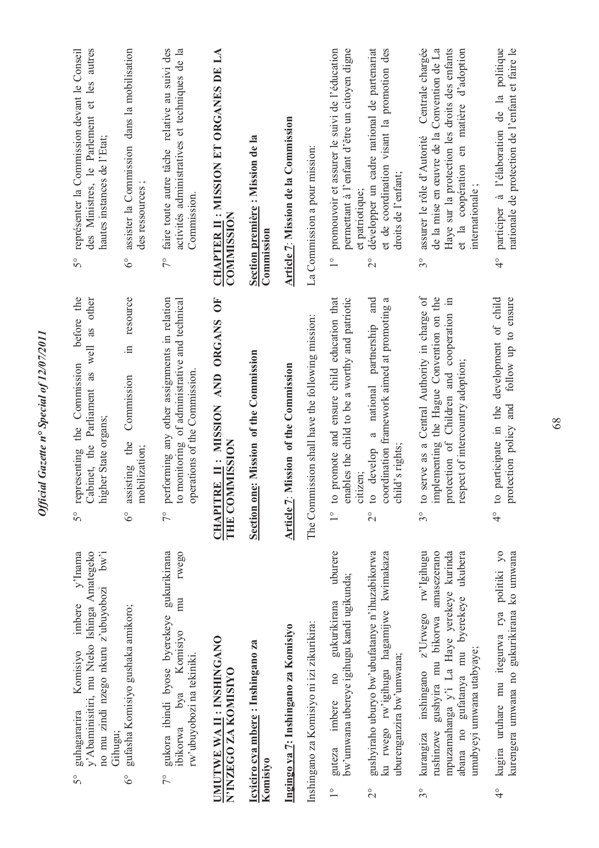| guhagararira<br>Gihugu;<br>$5^{\circ}$                             | bw'i<br>$\mathbf{y}'$ Inama<br>y' Abaminisitiri, mu Nteko Ishinga Amategeko<br>no mu zindi nzego nkuru z'ubuyobozi<br>imbere<br>Komisiyo                     | before the<br>other<br>well as<br>representing the Commission<br>Cabinet, the Parliament as<br>higher State organs;<br>5°                                                                        | des Ministres, le Parlement et les autres<br>représenter la Commission devant le Conseil<br>hautes instances de l'Etat;<br>$\mathcal{S}^{\circ}$                                                                              |
|--------------------------------------------------------------------|--------------------------------------------------------------------------------------------------------------------------------------------------------------|--------------------------------------------------------------------------------------------------------------------------------------------------------------------------------------------------|-------------------------------------------------------------------------------------------------------------------------------------------------------------------------------------------------------------------------------|
| $\delta^{\circ}$                                                   | gufasha Komisiyo gushaka amikoro;                                                                                                                            | in resource<br>Commission<br>assisting the<br>mobilization;<br>$6^\circ$                                                                                                                         | assister la Commission dans la mobilisation<br>des ressources;<br>$\delta^{\circ}$                                                                                                                                            |
| rw'ubuyobozi na tekiniki.<br>ibikorwa bya<br>$7^{\circ}$           | gukora ibindi byose byerekeye gukurikirana<br>rwego<br>mu<br>Komisiyo                                                                                        | 7° performing any other assignments in relation<br>to monitoring of administrative and technical<br>operations of the Commission.                                                                | faire toute autre tâche relative au suivi des<br>activités administratives et techniques de la<br>Commission.<br>$7^{\circ}$                                                                                                  |
| <b>UMUTWE WA II: INSHINGANO</b><br>N'INZEGO ZA KOMISIYO            |                                                                                                                                                              | CHAPITRE II: MISSION AND ORGANS OF<br>THE COMMISSION                                                                                                                                             | CHAPTER II : MISSION ET ORGANES DE LA<br><b>COMMISSION</b>                                                                                                                                                                    |
| Icyiciro cya mbere: Inshingano za<br>Komisiyo                      |                                                                                                                                                              | Section one: Mission of the Commission                                                                                                                                                           | Section première : Mission de la<br>Commission                                                                                                                                                                                |
| Ingingo ya 7: Inshingano za Komisiyo                               |                                                                                                                                                              | Article 7: Mission of the Commission                                                                                                                                                             | Article 7: Mission de la Commission                                                                                                                                                                                           |
| Inshingano za Komisiyo ni izi zikurikira:                          |                                                                                                                                                              | The Commission shall have the following mission:                                                                                                                                                 | La Commission a pour mission:                                                                                                                                                                                                 |
| imbere<br>guteza<br>$\frac{1}{1}$                                  | uburere<br>bw'umwana ubereye igihugu kandi ugikunda;<br>gukurikirana<br>10 <sub>o</sub>                                                                      | 1° to promote and ensure child education that<br>enables the child to be a worthy and patriotic<br>citizen;                                                                                      | permettant à l'enfant d'être un citoyen digne<br>promouvoir et assurer le suivi de l'éducation<br>et patriotique;<br>$\frac{1}{1}$                                                                                            |
| uburenganzira bw'umwana;<br>$\frac{1}{2}$                          | gushyiraho uburyo bw'ubufatanye n'ihuzabikorwa<br>ku rwego rw'igihugu hagamijwe kwimakaza                                                                    | and<br>coordination framework aimed at promoting a<br>partnership<br>national<br>$\approx$<br>child's rights<br>develop<br>$\overline{c}$<br>$\overline{C}$                                      | développer un cadre national de partenariat<br>et de coordination visant la promotion des<br>droits de l'enfant;<br>$\overset{\circ}{\sim}$                                                                                   |
| umubyeyi umwana utabyaye;<br>rushinzwe<br>kurangiza<br>$3^{\circ}$ | rw'Igihugu<br>gushyira mu bikorwa amasezerano<br>mpuzamahanga y'i La Haye yerekeye kurinda<br>abana no gufatanya mu byerekeye ukubera<br>inshingano z'Urwego | to serve as a Central Authority in charge of<br>implementing the Hague Convention on the<br>$\equiv$<br>protection of Children and cooperation<br>respect of intercountry adoption;<br>$3^\circ$ | Centrale chargée<br>de la mise en œuvre de la Convention de La<br>Haye sur la protection les droits des enfants<br>d'adoption<br>et la coopération en matière<br>assurer le rôle d'Autorité<br>internationale;<br>$3^{\circ}$ |
| $\frac{1}{4}$                                                      | kugira uruhare mu itegurwa rya politiki yo<br>kurengera umwana no gukurikirana ko umwana                                                                     | 4° to participate in the development of child<br>follow up to ensure<br>and<br>protection policy                                                                                                 | politique<br>nationale de protection de l'enfant et faire le<br>participer à l'élaboration de la<br>$\frac{1}{4}$                                                                                                             |

*Official Gazette n° Special of 12/07/2011*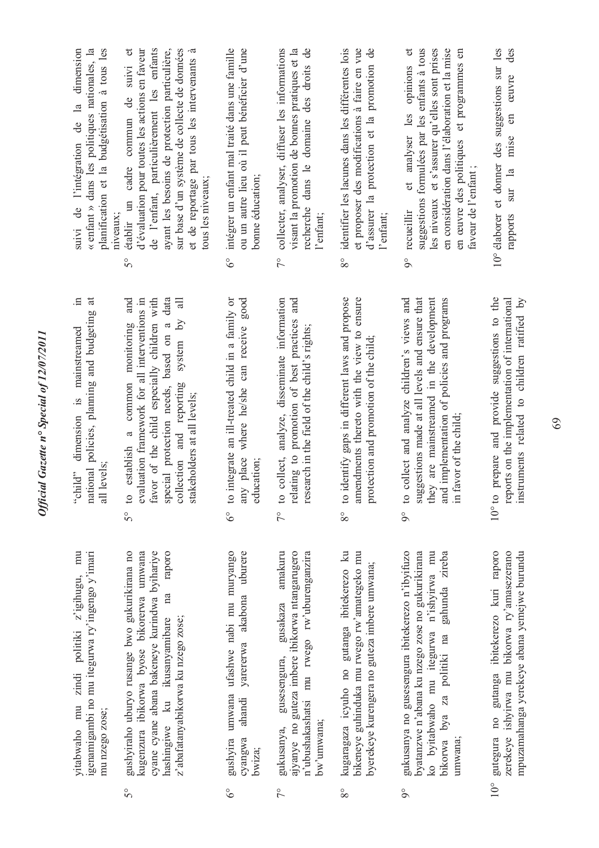|                  | mu<br>igenamigambi no mu itegurwa ry'ingengo y'imari<br>z'igihugu,<br>zindi politiki<br>vitabwaho mu<br>mu nzego zose;                                                                                                            | Ξ.<br>$\sharp$<br>national policies, planning and budgeting<br>mainstreamed<br>dimension is<br>all levels<br>"child"                                                                                                                                                                                                                        | « enfant » dans les politiques nationales, la<br>planification et la budgétisation à tous les<br>dimension<br>$\mathbf{a}$<br>de<br>suivi de l'intégration                                                                                                                                                                          |
|------------------|-----------------------------------------------------------------------------------------------------------------------------------------------------------------------------------------------------------------------------------|---------------------------------------------------------------------------------------------------------------------------------------------------------------------------------------------------------------------------------------------------------------------------------------------------------------------------------------------|-------------------------------------------------------------------------------------------------------------------------------------------------------------------------------------------------------------------------------------------------------------------------------------------------------------------------------------|
| $5^{\circ}$      | gushyiraho uburyo rusange bwo gukurikirana no<br>cyane cyane abana bakeneye kurindwa byihariye<br>raporo<br>kugenzura ibikorwa byose bikorerwa umwana<br>na<br>hashingiwe ku ikusanyamibare<br>z'abafatanyabikorwa ku nzego zose; | and<br>favor of the child especially children with<br>data<br>evaluation framework for all interventions in<br>$\equiv$<br>$\overline{S}$<br>$\mathfrak{a}$<br>common monitoring<br>special protection needs, based on<br>system<br>collection and reporting<br>stakeholders at all levels;<br>$\mathfrak{a}$<br>establish<br>$\circ$<br>5° | de l'enfant, particulièrement les enfants<br>ayant les besoins de protection particulière,<br>sur base d'un système de collecte de données<br>d'évaluation pour toutes les actions en faveur<br>et de reportage par tous les intervenants<br>suivi<br>de<br>établir un cadre commun<br>tous les niveaux;<br>niveaux;<br>$5^{\circ}$ |
| $\delta^{\circ}$ | gushyira umwana ufashwe nabi mu muryango<br>yarererwa akabona uburere<br>ahandi<br>cyangwa<br>bwiza;                                                                                                                              | to integrate an ill-treated child in a family or<br>any place where he/she can receive good<br>education;<br>$6^\circ$                                                                                                                                                                                                                      | intégrer un enfant mal traité dans une famille<br>ou un autre lieu où il peut bénéficier d'une<br>bonne éducation;<br>$6^\circ$                                                                                                                                                                                                     |
| $\sqrt{2}$       | amakuru<br>ajyanye no guteza imbere ibikorwa ntangarugero<br>n'ubushakashatsi mu rwego rw'uburenganzira<br>gusakaza<br>gusesengura,<br>bw'umwana;<br>gukusanya,                                                                   | collect, analyze, disseminate information<br>relating to promotion of best practices and<br>research in the field of the child's rights;<br>$\mathfrak{S}$<br>$\frac{1}{2}$                                                                                                                                                                 | visant la promotion de bonnes pratiques et la<br>recherche dans le domaine des droits de<br>collecter, analyser, diffuser les informations<br>l'enfant;<br>$\frac{1}{2}$                                                                                                                                                            |
| $8^{\circ}$      | kugaragaza icyuho no gutanga ibitekerezo ku<br>bikeneye guhinduka mu rwego rw'amategeko mu<br>byerekeye kurengera no guteza imbere umwana;                                                                                        | identify gaps in different laws and propose<br>amendments thereto with the view to ensure<br>protection and promotion of the child;<br>$\mathbf{c}$<br>$8^{\circ}$                                                                                                                                                                          | identifier les lacunes dans les différentes lois<br>et proposer des modifications à faire en vue<br>d'assurer la protection et la promotion de<br>l'enfant;<br>$8^{\circ}$                                                                                                                                                          |
| $\delta$         | gukusanya no gusesengura ibitekerezo n'ibyifuzo<br>byatanzwe n'abana ku nzego zose no gukurikirana<br>ko byitabwaho mu itegurwa n'ishyirwa mu<br>gahunda zireba<br>bikorwa bya za politiki na<br>umwana;                          | ggestions made at all levels and ensure that<br>they are mainstreamed in the development<br>collect and analyze children's views and<br>and implementation of policies and programs<br>favor of the child;<br>$\mathfrak{S}$<br>$\overline{\mathbf{s}}$<br>크.<br>$\overline{9}^{\circ}$                                                     | les niveaux et s'assurer qu'elles sont prises<br>en considération dans l'élaboration et la mise<br>suggestions formulées par les enfants à tous<br>en œuvre des politiques et programmes en<br>analyser les opinions<br>faveur de l'enfant;<br>et<br>recueillir<br>$\delta$                                                         |
| $10^{\circ}$     | gutegura no gutanga ibitekerezo kuri raporo<br>zerekeye ishyirwa mu bikorwa ry'amasezerano<br>mpuzamahanga yerekeye abana yemejwe burundu                                                                                         | prepare and provide suggestions to the<br>instruments related to children ratified by<br>reports on the implementation of international<br>$10^{\circ}$ to                                                                                                                                                                                  | et donner des suggestions sur les<br>des<br>ceuvre<br>$\mathbb{E}$<br>mise<br>sur la<br>10° élaborer<br>rapports                                                                                                                                                                                                                    |

*Official Gazette n° Special of 12/07/2011*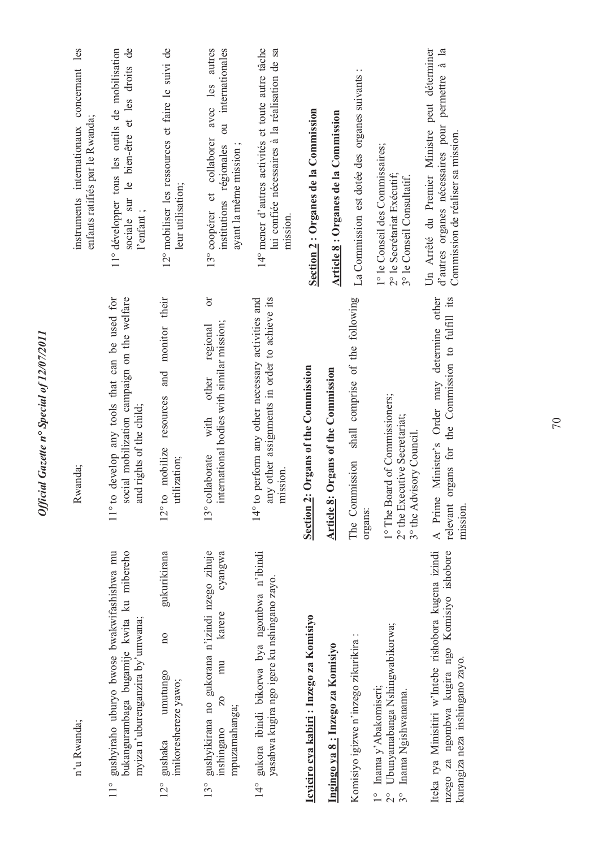| les<br>instruments internationaux concernant<br>enfants ratifiés par le Rwanda; | 11° développer tous les outils de mobilisation<br>sociale sur le bien-être et les droits de<br>l'enfant;                                      | 12° mobiliser les ressources et faire le suivi de<br>leur utilisation;                        | avec les autres<br>ou internationales<br>13° coopérer et collaborer<br>ayant la même mission;<br>institutions régionales                       | 14° mener d'autres activités et toute autre tâche<br>lui confiée nécessaires à la réalisation de sa<br>mission.          | Section 2 : Organes de la Commission          | <b>Article 8: Organes de la Commission</b> | La Commission est dotée des organes suivants :               | 1° le Conseil des Commissaires;<br>2° le Secrétariat Exécutif;<br>3° le Conseil Consultatif.                   | Un Arrêté du Premier Ministre peut déterminer<br>d'autres organes nécessaires pour permettre à la<br>Commission de réaliser sa mission.   |
|---------------------------------------------------------------------------------|-----------------------------------------------------------------------------------------------------------------------------------------------|-----------------------------------------------------------------------------------------------|------------------------------------------------------------------------------------------------------------------------------------------------|--------------------------------------------------------------------------------------------------------------------------|-----------------------------------------------|--------------------------------------------|--------------------------------------------------------------|----------------------------------------------------------------------------------------------------------------|-------------------------------------------------------------------------------------------------------------------------------------------|
| Rwanda;                                                                         | develop any tools that can be used for<br>social mobilization campaign on the welfare<br>and rights of the child;<br>$11^{\circ}$ to          | monitor their<br>and<br>resources<br>mobilize<br>utilization;<br>$12^{\circ}$ to              | ðľ<br>international bodies with similar mission;<br>regional<br>other<br>with<br>13° collaborate                                               | any other assignments in order to achieve its<br>perform any other necessary activities and<br>mission.<br>$14^\circ$ to | Organs of the Commission<br><b>Section 2:</b> | Organs of the Commission<br>Article 8:     | shall comprise of the following<br>The Commission<br>organs: | 1° The Board of Commissioners;<br>2° the Executive Secretariat;<br>3° the Advisory Council.                    | Minister's Order may determine other<br>rgans for the Commission to fulfill its<br>$\overline{\sigma}$<br>A Prime<br>relevant<br>mission. |
| n'u Rwanda;                                                                     | gushyiraho uburyo bwose bwakwifashishwa mu<br>bukangurambaga bugamije kwita ku mibereho<br>myiza n'uburenganzira by'umwana;<br>$\frac{1}{10}$ | gukurikirana<br>$\overline{n}$<br>umutungo<br>imikoreshereze yawo;<br>gushaka<br>$12^{\circ}$ | gushyikirana no gukorana n'izindi nzego zihuje<br>cyangwa<br>karere<br>mu<br>$\overline{20}$<br>mpuzamahanga;<br>inshingano<br>13 <sup>°</sup> | gukora ibindi bikorwa bya ngombwa n'ibindi<br>yasabwa kugira ngo igere ku nshingano zayo.<br>$14^{\circ}$                | Icyiciro cya kabiri: Inzego za Komisiyo       | Ingingo ya 8: Inzego za Komisiyo           | Komisiyo igizwe n'inzego zikurikira :                        | Ubunyamabanga Nshingwabikorwa;<br>Inama y'Abakomiseri;<br>Inama Ngishwanama.<br>$\frac{1}{2}$<br>$\frac{1}{2}$ | Iteka rya Minisitiri w'Intebe rishobora kugena izindi<br>nzego za ngombwa kugira ngo Komisiyo ishobore<br>kurangiza neza inshingano zayo. |

Official Gazette nº Special of 12/07/2011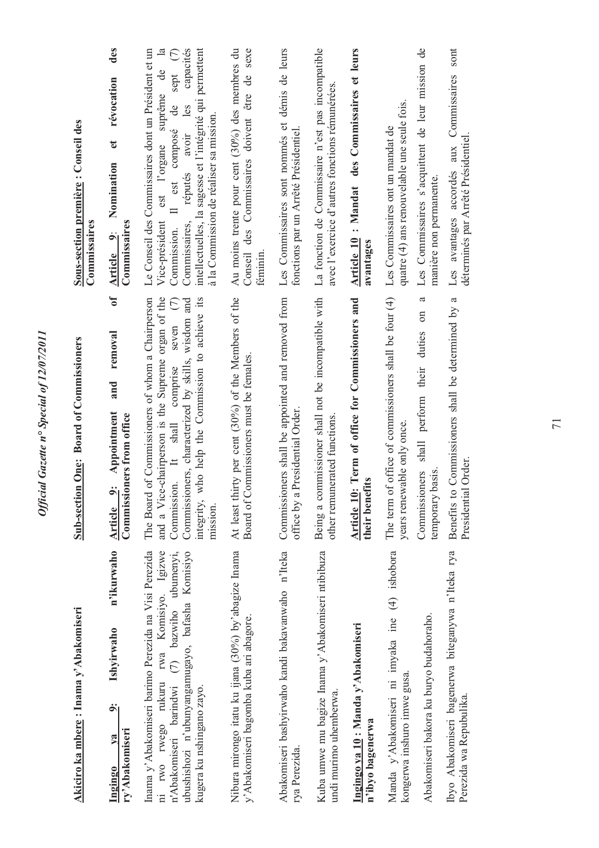| Akiciro ka mbere: Inama y'Abakomiseri                                                                                                                                                                                                       | Sub-section One: Board of Commissioners                                                                                                                                                                                                                                          | Sous-section première: Conseil des<br>Commissaires                                                                                                                                                                                                                                                                                                                |
|---------------------------------------------------------------------------------------------------------------------------------------------------------------------------------------------------------------------------------------------|----------------------------------------------------------------------------------------------------------------------------------------------------------------------------------------------------------------------------------------------------------------------------------|-------------------------------------------------------------------------------------------------------------------------------------------------------------------------------------------------------------------------------------------------------------------------------------------------------------------------------------------------------------------|
| n'ikurwaho<br>Ishyirwaho<br>اخ<br>ry' Abakomiseri<br>va<br>Ingingo                                                                                                                                                                          | ð<br>removal<br>and<br>Appointment<br>Commissioners from office<br>اب<br>Article                                                                                                                                                                                                 | des<br>révocation<br>đ<br>Nomination<br>Commissaires<br>Article 9:                                                                                                                                                                                                                                                                                                |
| Inama y'Abakomiseri barimo Perezida na Visi Perezida<br>rwa Komisiyo. Igizwe<br>ubushishozi n'ubunyangamugayo, bafasha Komisiyo<br>ubumenyi,<br>$(7)$ bazwiho<br>ni rwo rwego rukuru<br>n'Abakomiseri barindwi<br>kugera ku nshingano zayo. | The Board of Commissioners of whom a Chairperson<br>and a Vice-chairperson is the Supreme organ of the<br>who help the Commission to achieve its<br>Commissioners, characterized by skills, wisdom and<br>seven $(7)$<br>Commission. It shall comprise<br>integrity,<br>mission. | intellectuelles, la sagesse et l'intégrité qui permettent<br>$\overline{\mathbf{a}}$<br>capacités<br>Le Conseil des Commissaires dont un Président et un<br>sept (7)<br>$\overline{\mathbf{d}}$<br>est l'organe suprême<br>les<br>composé de<br>à la Commission de réaliser sa mission.<br>réputés avoir<br>est<br>Vice-président<br>Commissaires,<br>Commission. |
| Nibura mirongo itatu ku ijana (30%) by'abagize Inama<br>y'Abakomiseri bagomba kuba ari abagore.                                                                                                                                             | At least thirty per cent (30%) of the Members of the<br>Commissioners must be females<br>Board of                                                                                                                                                                                | Conseil des Commissaires doivent être de sexe<br>Au moins trente pour cent (30%) des membres du<br>féminin.                                                                                                                                                                                                                                                       |
| Abakomiseri bashyirwaho kandi bakavanwaho n'Iteka<br>rya Perezida.                                                                                                                                                                          | Commissioners shall be appointed and removed from<br>office by a Presidential Order.                                                                                                                                                                                             | Les Commissaires sont nommés et démis de leurs<br>fonctions par un Arrêté Présidentiel.                                                                                                                                                                                                                                                                           |
| Kuba umwe mu bagize Inama y'Abakomiseri ntibibuza<br>undi murimo uhemberwa.                                                                                                                                                                 | Being a commissioner shall not be incompatible with<br>other remunerated functions                                                                                                                                                                                               | La fonction de Commissaire n'est pas incompatible<br>avec l'exercice d'autres fonctions rémunérées                                                                                                                                                                                                                                                                |
| Ingingo ya 10: Manda y'Abakomiseri<br>n'ibyo bagenerwa                                                                                                                                                                                      | Article 10: Term of office for Commissioners and<br>their benefits                                                                                                                                                                                                               | Article 10 : Mandat des Commissaires et leurs<br>avantages                                                                                                                                                                                                                                                                                                        |
| Manda y'Abakomiseri ni imyaka ine (4) ishobora<br>Abakomiseri bakora ku buryo budahoraho.<br>kongerwa inshuro imwe gusa.                                                                                                                    | of office of commissioners shall be four (4)<br>ß<br>shall perform their duties on<br>years renewable only once<br>temporary basis.<br>Commissioners<br>The term                                                                                                                 | Les Commissaires s'acquittent de leur mission de<br>quatre (4) ans renouvelable une seule fois<br>Les Commissaires ont un mandat de<br>manière non permanente.                                                                                                                                                                                                    |
| Ibyo Abakomiseri bagenerwa biteganywa n'Iteka rya<br>Perezida wa Repubulika                                                                                                                                                                 | to Commissioners shall be determined by a<br>Presidential Order.<br><b>Benefits</b>                                                                                                                                                                                              | Les avantages accordés aux Commissaires sont<br>déterminés par Arrêté Présidentiel.                                                                                                                                                                                                                                                                               |

Official Gazette nº Special of 12/07/2011 *Official Gazette n° Special of 12/07/2011*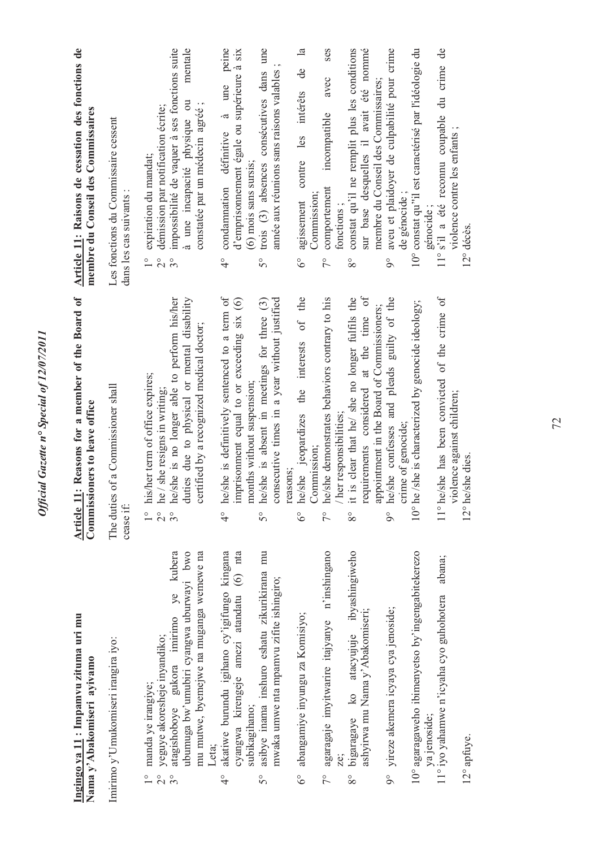|                                        | Ingingo ya 11: Impamvu zituma uri mu<br>Nama y'Abakomiseri ayivamo                                                                                                                            | Reasons for a member of the Board of<br>Commissioners to leave office<br>Article 11:                                                                                                                                                                        | Article 11: Raisons de cessation des fonctions de<br>membre du Conseil des Commissaires                                                                                                                                                            |
|----------------------------------------|-----------------------------------------------------------------------------------------------------------------------------------------------------------------------------------------------|-------------------------------------------------------------------------------------------------------------------------------------------------------------------------------------------------------------------------------------------------------------|----------------------------------------------------------------------------------------------------------------------------------------------------------------------------------------------------------------------------------------------------|
|                                        | Imirimo y'Umukomiseri irangira iyo:                                                                                                                                                           | of a Commissioner shall<br>The duties<br>cease if:                                                                                                                                                                                                          | Les fonctions du Commissaire cessent<br>dans les cas suivants :                                                                                                                                                                                    |
| $\overset{\circ}{\sim}$<br>$3^{\circ}$ | ye kubera<br>ubumuga bw'umubiri cyangwa uburwayi bwo<br>mu mutwe, byemejwe na muganga wemewe na<br>atagishoboye gukora imirimo<br>yeguye akoresheje inyandiko;<br>manda ye irangiye;<br>Leta: | duties due to physical or mental disability<br>he/she is no longer able to perform his/her<br>certified by a recognized medical doctor;<br>his/her term of office expires;<br>he / she resigns in writing;<br>$\frac{1}{2}$<br>$3^{\circ}$<br>$\frac{1}{2}$ | impossibilité de vaquer à ses fonctions suite<br>mentale<br>à une incapacité physique ou<br>constatée par un médecin agréé;<br>démission par notification écrite;<br>expiration du mandat;<br>$\frac{1}{2}$<br>$3^{\circ}$<br>$\frac{1}{\sqrt{2}}$ |
| $\frac{1}{4}$                          | akatiwe burundu igihano cy'igifungo kingana<br>$(6)$ nta<br>cyangwa kirengeje amezi atandatu<br>subikagihano;                                                                                 | he/she is definitively sentenced to a term of<br>imprisonment equal to or exceeding six (6)<br>months without suspension;<br>$\frac{1}{4}$                                                                                                                  | peine<br>d'emprisonnement égale ou supérieure à six<br>une<br>$\dot{\sigma}$<br>condamnation définitive<br>(6) mois sans sursis;<br>$\frac{1}{4}$                                                                                                  |
| $\mathcal{S}^{\circ}$                  | asibye inama inshuro eshatu zikurikirana mu<br>mwaka umwe nta mpamvu zifite ishingiro;                                                                                                        | consecutive times in a year without justified<br>he/she is absent in meetings for three (3)<br>reasons;<br>$\overline{5}^{\circ}$                                                                                                                           | trois (3) absences consécutives dans une<br>année aux réunions sans raisons valables<br>$\mathcal{S}^{\circ}$                                                                                                                                      |
| $6^\circ$                              | abangamiye inyungu za Komisiyo;                                                                                                                                                               | he/she jeopardizes the interests of the<br>Commission;<br>$\delta^{\circ}$                                                                                                                                                                                  | $\mathbf{a}$<br>contre les intérêts de<br>Commission;<br>agissement<br>$\delta^{\circ}$                                                                                                                                                            |
| $7^{\circ}$                            | agaragaje imyitwarire itajyanye n'inshingano<br>ze:                                                                                                                                           | he/she demonstrates behaviors contrary to his<br>/ her responsibilities;<br>$\frac{1}{2}$                                                                                                                                                                   | ses<br>avec<br>incompatible<br>comportement<br>fonctions;<br>$\tilde{7}^{\circ}$                                                                                                                                                                   |
| $8^{\circ}$                            | bigaragaye ko atacyujuje ibyashingiweho<br>ashyirwa mu Nama y'Abakomiseri;                                                                                                                    | $\sigma$ f<br>is clear that he/ she no longer fulfils the<br>appointment in the Board of Commissioners;<br>requirements considered at the time<br>$\vdots$<br>$8^{\circ}$                                                                                   | constat qu'il ne remplit plus les conditions<br>sur base desquelles il avait été nommé<br>membre du Conseil des Commissaires;<br>$8^{\circ}$                                                                                                       |
|                                        | 9° yireze akemera icyaya cya jenoside;                                                                                                                                                        | he/she confesses and pleads guilty of the<br>crime of genocide;<br>$\delta$                                                                                                                                                                                 | aveu et plaidoyer de culpabilité pour crime<br>de génocide ;<br>$\delta$                                                                                                                                                                           |
|                                        | 10° agaragaweho ibimenyetso by'ingengabitekerezo<br>ya jenoside;                                                                                                                              | 10° he /she is characterized by genocide ideology;                                                                                                                                                                                                          | 10° constat qu''il est caractérisé par l'idéologie du<br>génocide;                                                                                                                                                                                 |
|                                        | abana;<br>11° iyo yahamwe n'icyaha cyo guhohotera<br>12° apfuye.                                                                                                                              | 11° he/she has been convicted of the crime of<br>violence against children;<br>12° he/she dies.                                                                                                                                                             | $\overline{d}$ e<br>11° s'il a été reconnu coupable du crime<br>violence contre les enfants;<br>12° décès.                                                                                                                                         |

*Official Gazette n° Special of 12/07/2011* 

Official Gazette nº Special of 12/07/2011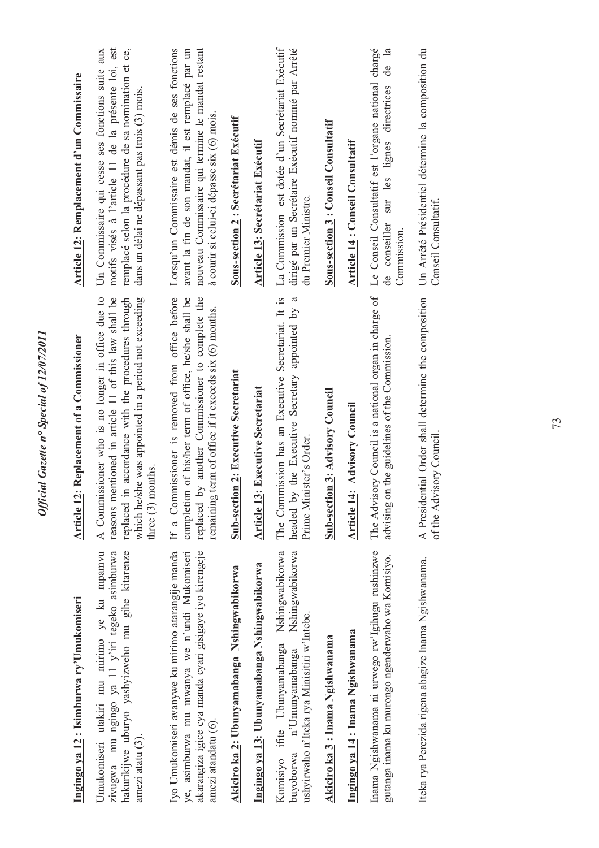| Ingingo ya 12: Isimburwa ry'Umukomiseri                                                                                                                                                 | Replacement of a Commissioner<br><b>Article 12:</b>                                                                                                                                                                                              | Article 12: Remplacement d'un Commissaire                                                                                                                                                                        |
|-----------------------------------------------------------------------------------------------------------------------------------------------------------------------------------------|--------------------------------------------------------------------------------------------------------------------------------------------------------------------------------------------------------------------------------------------------|------------------------------------------------------------------------------------------------------------------------------------------------------------------------------------------------------------------|
| Umukomiseri utakiri mu mirimo ye ku mpamvu<br>zivugwa mu ngingo ya 11 y'iri tegeko asimburwa<br>hakurikijwe uburyo yashyizweho mu gihe kitarenze<br>amezi atatu (3).                    | A Commissioner who is no longer in office due to<br>reasons mentioned in article 11 of this law shall be<br>which he/she was appointed in a period not exceeding<br>accordance with the procedures through<br>three $(3)$ months.<br>replaced in | motifs visés à l'article 11 de la présente loi, est<br>remplacé selon la procédure de sa nomination et ce,<br>Un Commissaire qui cesse ses fonctions suite aux<br>dans un délai ne dépassant pas trois (3) mois. |
| Iyo Umukomiseri avanywe ku mirimo atarangije manda<br>ye, asimburwa mu mwanya we n'undi Mukomiseri<br>akarangiza igice cya manda cyari gisigaye iyo kirengeje<br>amezi atandatu $(6)$ . | If a Commissioner is removed from office before<br>of his/her term of office, he/she shall be<br>another Commissioner to complete the<br>remaining term of office if it exceeds six (6) months.<br>replaced by<br>completion                     | Lorsqu'un Commissaire est démis de ses fonctions<br>nouveau Commissaire qui termine le mandat restant<br>avant la fin de son mandat, il est remplacé par un<br>à courir si celui-ci dépasse six (6) mois.        |
| Akiciro ka 2: Ubunyamabanga Nshingwabikorwa                                                                                                                                             | <b>Sub-section 2: Executive Secretariat</b>                                                                                                                                                                                                      | <b>Sous-section 2: Secrétariat Exécutif</b>                                                                                                                                                                      |
| Ingingo ya 13: Ubunyamabanga Nshingwabikorwa                                                                                                                                            | <b>Executive Secretariat</b><br><b>Article 13:</b>                                                                                                                                                                                               | <b>Article 13: Secrétariat Exécutif</b>                                                                                                                                                                          |
| Nshingwabikorwa<br>Nshingwabikorwa<br>ushyirwaho n'Iteka rya Minisitiri w'Intebe.<br>Komisiyo ifite Ubunyamabanga<br>n'Umunyamabanga<br>buyoborwa                                       | The Commission has an Executive Secretariat. It is<br>$\mathfrak{a}$<br>the Executive Secretary appointed by<br>Prime Minister's Order.<br>headed by                                                                                             | La Commission est dotée d'un Secrétariat Exécutif<br>dirigé par un Secrétaire Exécutif nommé par Arrêté<br>du Premier Ministre.                                                                                  |
| Akiciro ka 3 : Inama Ngishwanama                                                                                                                                                        | <b>Sub-section 3: Advisory Council</b>                                                                                                                                                                                                           | <b>Sous-section 3 : Conseil Consultatif</b>                                                                                                                                                                      |
| Ingingo ya 14 : Inama Ngishwanama                                                                                                                                                       | <b>Advisory Council</b><br>Article 14:                                                                                                                                                                                                           | Article 14 : Conseil Consultatif                                                                                                                                                                                 |
| Inama Ngishwanama ni urwego rw'lgihugu rushinzwe<br>gutanga inama ku murongo ngenderwaho wa Komisiyo.                                                                                   | The Advisory Council is a national organ in charge of<br>the guidelines of the Commission.<br>advising on                                                                                                                                        | Le Conseil Consultatif est l'organe national chargé<br>$\mathbf{a}$<br>ප්<br>sur les lignes directrices<br>conseiller<br>Commission.<br>de                                                                       |
| Iteka rya Perezida rigena abagize Inama Ngishwanama.                                                                                                                                    | A Presidential Order shall determine the composition<br>of the Advisory Council                                                                                                                                                                  | Un Arrêté Présidentiel détermine la composition du<br>Conseil Consultatif.                                                                                                                                       |
|                                                                                                                                                                                         |                                                                                                                                                                                                                                                  |                                                                                                                                                                                                                  |

*Official Gazette n° Special of 12/07/2011*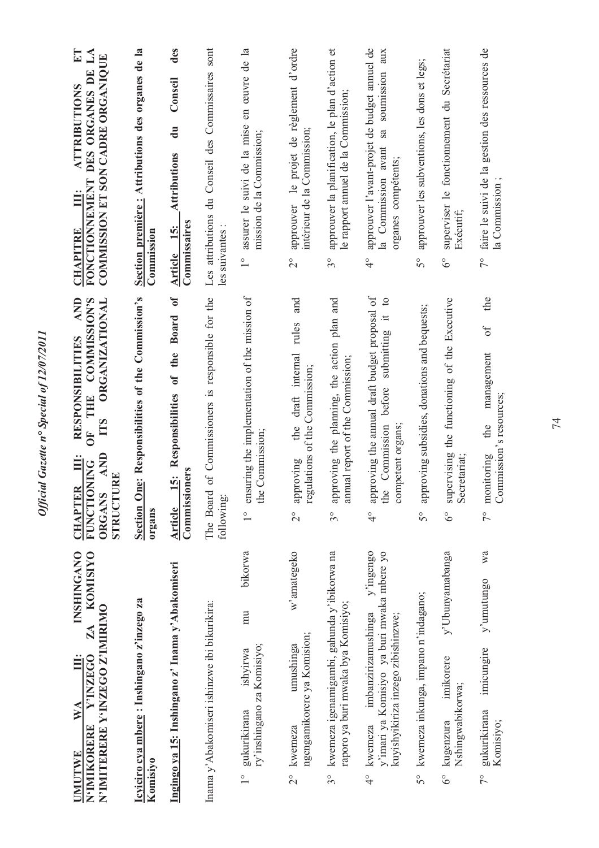Official Gazette nº Special of 12/07/2011 *Official Gazette n° Special of 12/07/2011*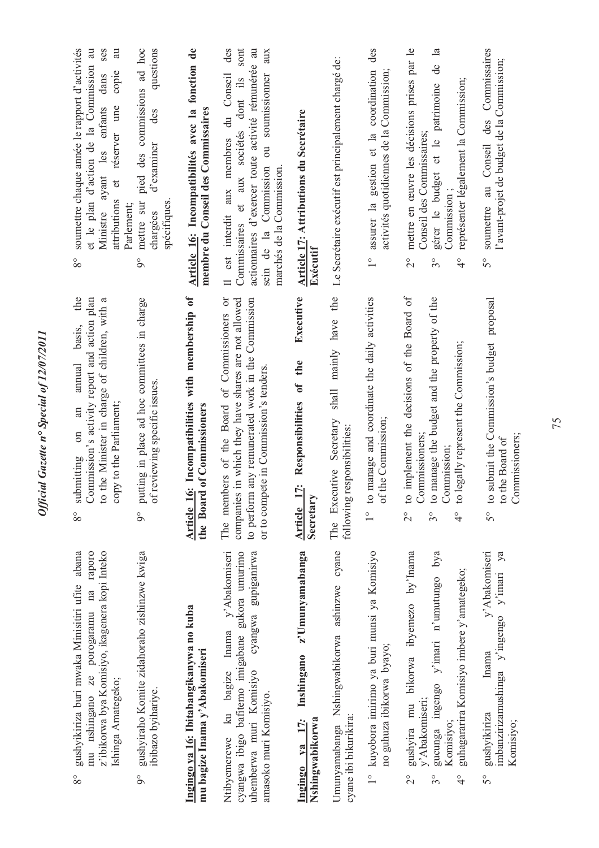| soumettre chaque année le rapport d'activités<br>et le plan d'action de la Commission au<br>ses<br>au<br>copie<br>dans<br>et réserver une<br>Ministre ayant les enfants<br>attributions<br>Parlement;<br>$8^{\circ}$ | pied des commissions ad hoc<br>questions<br>des<br>d'examiner<br>mettre sur<br>spécifiques<br>chargées<br>$\delta$ | Article 16: Incompatibilités avec la fonction de<br>membre du Conseil des Commissaires | des<br>sont<br>actionnaires d'exercer toute activité rémunérée au<br>aux<br>est interdit aux membres du Conseil<br>soumissionner<br>et aux sociétés dont ils<br>$\overline{\text{ou}}$<br>Commission<br>marchés de la Commission.<br>Commissaires<br>sein de la<br>$\equiv$ | Article 17: Attributions du Secrétaire<br>Exécutif                      | Le Secrétaire exécutif est principalement chargé de:                                  | des<br>activités quotidiennes de la Commission;<br>assurer la gestion et la coordination<br>$\overset{\circ}{\phantom{0}}$ | mettre en œuvre les décisions prises par le<br>$\mathbf{a}$<br>de<br>représenter légalement la Commission;<br>patrimoine<br>Conseil des Commissaires;<br>gérer le budget et le<br>Commission;<br>$\frac{1}{2}$<br>$3^{\circ}$<br>$\frac{1}{4}$ | Commissaires<br>l'avant-projet de budget de la Commission;<br>des<br>soumettre au Conseil<br>50                   |
|----------------------------------------------------------------------------------------------------------------------------------------------------------------------------------------------------------------------|--------------------------------------------------------------------------------------------------------------------|----------------------------------------------------------------------------------------|-----------------------------------------------------------------------------------------------------------------------------------------------------------------------------------------------------------------------------------------------------------------------------|-------------------------------------------------------------------------|---------------------------------------------------------------------------------------|----------------------------------------------------------------------------------------------------------------------------|------------------------------------------------------------------------------------------------------------------------------------------------------------------------------------------------------------------------------------------------|-------------------------------------------------------------------------------------------------------------------|
| submitting on an annual basis, the Commission's activity report and action plan<br>to the Minister in charge of children, with a<br>copy to the Parliament;<br>$8^{\circ}$                                           | putting in place ad hoc committees in charge<br>of reviewing specific issues<br>$9^\circ$                          | Article 16: Incompatibilities with membership of<br>the Board of Commissioners         | The members of the Board of Commissioners or<br>companies in which they have shares are not allowed<br>to perform any remunerated work in the Commission<br>or to compete in Commission's tenders.                                                                          | Executive<br>[7: Responsibilities of the<br>Secretary<br><b>Article</b> | have the<br>shall mainly<br>Secretary<br>following responsibilities:<br>The Executive | manage and coordinate the daily activities<br>the Commission;<br>ъ<br>$1^\circ$ to                                         | implement the decisions of the Board of<br>to manage the budget and the property of the<br>to legally represent the Commission;<br>Commissioners<br>Commission;<br>$\circ$<br>$\frac{1}{2}$<br>30<br>$\frac{1}{4}$                             | submit the Commission's budget proposal<br>Commissioners;<br>the Board of<br>$\circ$<br>$\mathfrak{c}$<br>50      |
| mu nshingano ze porogaramu na raporo<br>abana<br>z'ibikorwa bya Komisiyo, ikagenera kopi Inteko<br>gushyikiriza buri mwaka Minisitiri ufite<br>Ishinga Amategeko;<br>$8^{\circ}$                                     | gushyiraho Komite zidahoraho zishinzwe kwiga<br>ibibazo byihariye.<br>$\delta$                                     | Ingingo ya 16: Ibitabangikanywa no kuba<br>mu bagize Inama y'Abakomiseri               | Inama y'Abakomiseri<br>cyangwa ibigo bafitemo imigabane gukora umurimo<br>cyangwa gupiganirwa<br>Ntibyemerewe ku bagize<br>uhemberwa muri Komisiyo<br>amasoko muri Komisiyo.                                                                                                | z'Umunyamabanga<br>Inshingano<br>Ingingo ya 17:<br>Nshingwabikorwa      | Umunyamabanga Nshingwabikorwa ashinzwe cyane<br>cyane ibi bikurikira:                 | 1° kuyobora imirimo ya buri munsi ya Komisiyo<br>no guhuza ibikorwa byayo;                                                 | gushyira mu bikorwa ibyemezo by'lnama<br>bya<br>guhagararira Komisiyo imbere y'amategeko;<br>gucunga ingengo y'imari n'umutungo<br>y' Abakomiseri;<br>Komisiyo;<br>$\frac{1}{2}$<br>$3^{\circ}$<br>$\frac{1}{4}$                               | y'Abakomiseri<br>ya<br>imbanzirizamushinga y'ingengo y'imari<br>Inama<br>gushyikiriza<br>Komisiyo;<br>$5^{\circ}$ |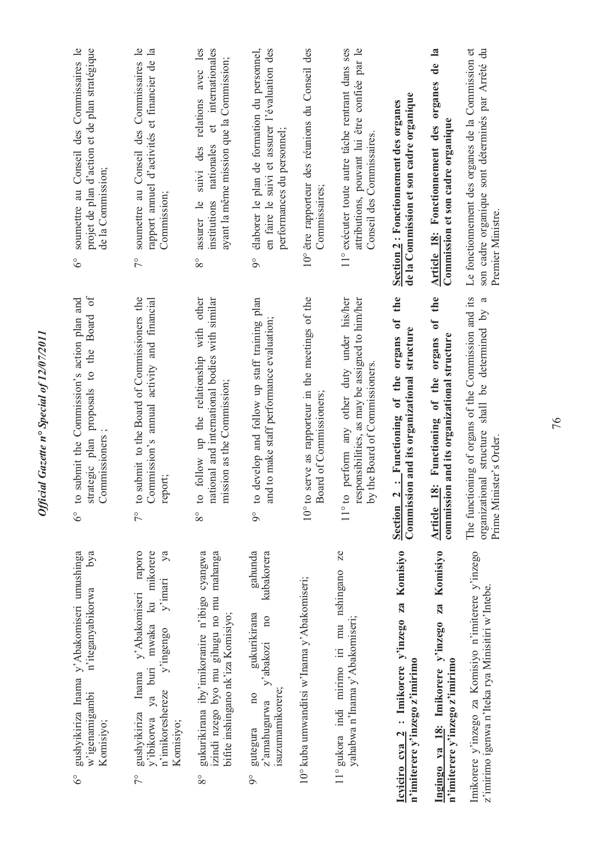| soumettre au Conseil des Commissaires le<br>projet de plan d'action et de plan stratégique<br>de la Commission;<br>$\delta^{\circ}$     | soumettre au Conseil des Commissaires le<br>rapport annuel d'activités et financier de la<br>Commission;<br>$\tilde{7}^{\circ}$                                                                   | relations avec les<br>et internationales<br>ayant la même mission que la Commission;<br>nationales<br>suivi des<br>institutions<br>assurer le<br>$8^{\circ}$ | élaborer le plan de formation du personnel,<br>en faire le suivi et assurer l'évaluation des<br>performances du personnel;<br>$\delta$              | 10° être rapporteur des réunions du Conseil des<br>Commissaires;             | 11° exécuter toute autre tâche rentrant dans ses<br>attributions, pouvant lui être confiée par le<br>Conseil des Commissaires                                  | de la Commission et son cadre organique<br>Section 2: Fonctionnement des organes                                | $\mathbf{a}$<br>$\frac{e}{\sigma}$<br>organes<br>Commission et son cadre organique<br>Article 18: Fonctionnement des | Le fonctionnement des organes de la Commission et<br>son cadre organique sont déterminés par Arrêté du<br>Premier Ministre.<br>ದ     |
|-----------------------------------------------------------------------------------------------------------------------------------------|---------------------------------------------------------------------------------------------------------------------------------------------------------------------------------------------------|--------------------------------------------------------------------------------------------------------------------------------------------------------------|-----------------------------------------------------------------------------------------------------------------------------------------------------|------------------------------------------------------------------------------|----------------------------------------------------------------------------------------------------------------------------------------------------------------|-----------------------------------------------------------------------------------------------------------------|----------------------------------------------------------------------------------------------------------------------|--------------------------------------------------------------------------------------------------------------------------------------|
| $\delta$ f<br>$6^{\circ}$ to submit the Commission's action plan and<br>Board<br>the<br>proposals to<br>Commissioners<br>strategic plan | to submit to the Board of Commissioners the<br>Commission's annual activity and financial<br>report;<br>$7^{\circ}$                                                                               | with other<br>national and international bodies with similar<br>follow up the relationship<br>mission as the Commission;<br>$\mathbf{c}$<br>$8^{\circ}$      | develop and follow up staff training plan<br>to make staff performance evaluation;<br>and<br>$\circ$<br>$9^\circ$                                   | 10° to serve as rapporteur in the meetings of the<br>Board of Commissioners; | perform any other duty under his/her<br>responsibilities, as may be assigned to him/her<br>the Board of Commissioners.<br>$V_{\mathcal{A}}$<br>$11^{\circ}$ to | organs of the<br>structure<br>: Functioning of the<br>Commission and its organizational<br>Section <sub>2</sub> | the<br>of<br>commission and its organizational structure<br>organs<br>Functioning of the<br>Article 18:              | The functioning of organs of the Commission and its<br>shall be determined by<br>organizational structure<br>Prime Minister's Order. |
| gushyikiriza Inama y'Abakomiseri umushinga<br>bya<br>n'iteganyabikorwa<br>w'igenamigambi<br>Komisiyo;<br>$6^{\circ}$                    | raporo<br>ku mikorere<br>ya<br>$y'$ imari<br>y' Abakomiseri<br>mwaka<br>$y'$ ingengo<br>ya buri<br>Inama<br>n'imikoreshereze<br>gushyikiriza<br>v'ibikorwa<br>Komisiyo;<br>$\overline{7}^{\circ}$ | izindi nzego byo mu gihugu no mu mahanga<br>gukurikirana iby'imikoranire n'ibigo cyangwa<br>bifite inshingano nk'iza Komisiyo;<br>$8^{\circ}$                | gahunda<br>kubakorera<br>gukurikirana<br>$\overline{10}$<br>y'abakozi<br>isuzumamikorere;<br>$\overline{n}$<br>z'amahugurwa<br>gutegura<br>$\delta$ | 10° kuba umwanditsi w'Inama y'Abakomiseri;                                   | Ze<br>11° gukora indi mirimo iri mu nshingano<br>yahabwa n'Inama y'Abakomiseri;                                                                                | Icyiciro cya 2 : Imikorere y'inzego za Komisiyo<br>n'imiterere y'inzego z'imirimo                               | Ingingo ya 18: Imikorere y'inzego za Komisiyo<br>n'imiterere y'inzego z'imirimo                                      | Imikorere y'inzego za Komisiyo n'imiterere y'inzego<br>z'imirimo igenwa n'Iteka rya Minisitiri w'Intebe.                             |

*Official Gazette n° Special of 12/07/2011*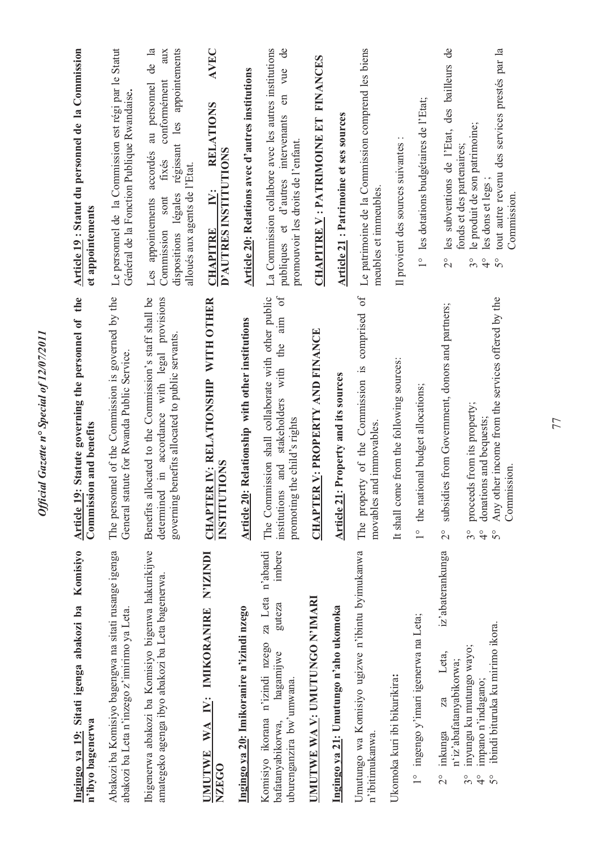| Komisiyo<br>Ingingo ya 19: Sitati igenga abakozi ba<br>n'ibyo bagenerwa                                                                     | Statute governing the personnel of the<br>in and benefits<br>Article 19:<br>Commissio                                                                                     | Article 19 : Statut du personnel de la Commission<br>et appointements                                                                                                                                      |
|---------------------------------------------------------------------------------------------------------------------------------------------|---------------------------------------------------------------------------------------------------------------------------------------------------------------------------|------------------------------------------------------------------------------------------------------------------------------------------------------------------------------------------------------------|
| Abakozi ba Komisiyo bagengwa na sitati rusange igenga<br>abakozi ba Leta n'inzego z'imirimo ya Leta.                                        | The personnel of the Commission is governed by the<br>General statute for Rwanda Public Service.                                                                          | Le personnel de la Commission est régi par le Statut<br>Général de la Fonction Publique Rwandaise.                                                                                                         |
| Ibigenerwa abakozi ba Komisiyo bigenwa hakurikijwe<br>amategeko agenga ibyo abakozi ba Leta bagenerwa.                                      | located to the Commission's staff shall be<br>in accordance with legal provisions<br>governing benefits allocated to public servants.<br>Benefits all<br>determined       | de la<br>appointements<br>aux<br>conformément<br>au personnel<br>régissant les<br>accordés<br>fixés<br>alloués aux agents de l'Etat.<br>légales<br>sont<br>Les appointements<br>Commission<br>dispositions |
| IMIKORANIRE N'IZINDI<br>$\mathbf{N}$ :<br>WA<br>UMUTWE<br>NZEGO                                                                             | CHAPTER IV: RELATIONSHIP WITH OTHER<br><b>INSTITUTIONS</b>                                                                                                                | AVEC<br><b>RELATIONS</b><br>D'AUTRES INSTITUTIONS<br>IV:<br><b>CHAPITRE</b>                                                                                                                                |
| Ingingo ya 20: Imikoranire n'izindi nzego                                                                                                   | Relationship with other institutions<br>Article 20:                                                                                                                       | <b>Article 20: Relations avec d'autres institutions</b>                                                                                                                                                    |
| za Leta n'abandi<br>imbere<br>guteza<br>Komisiyo ikorana n'izindi nzego<br>hagamijwe<br>uburenganzira bw'umwana.<br>bafatanyabikorwa,       | $\delta$<br>The Commission shall collaborate with other public<br>aim<br>the<br>with<br>stakeholders<br>the child's rights<br>and<br>institutions<br>promoting t          | La Commission collabore avec les autres institutions<br>$\mathbf{d}$<br>vue<br>$\epsilon$<br>publiques et d'autres intervenants<br>promouvoir les droits de l'enfant.                                      |
| UMUTWE WA V: UMUTUNGO N'IMARI                                                                                                               | <b>CHAPTER V: PROPERTY AND FINANCE</b>                                                                                                                                    | CHAPITRE V : PATRIMOINE ET FINANCES                                                                                                                                                                        |
| Ingingo ya 21: Umutungo n'aho ukomoka                                                                                                       | Property and its sources<br>Article 21:                                                                                                                                   | Article 21: Patrimoine et ses sources                                                                                                                                                                      |
| Umutungo wa Komisiyo ugizwe n'ibintu byimukanwa<br>n'ibitimukanwa.                                                                          | $\sigma$ f<br>The property of the Commission is comprised<br>movables and immovables.                                                                                     | Le patrimoine de la Commission comprend les biens<br>meubles et immeubles.                                                                                                                                 |
| Ukomoka kuri ibi bikurikira:                                                                                                                | It shall come from the following sources:                                                                                                                                 | Il provient des sources suivantes                                                                                                                                                                          |
| 1° ingengo y'imari igenerwa na Leta;                                                                                                        | 1° the national budget allocations;                                                                                                                                       | 1° les dotations budgétaires de l'Etat;                                                                                                                                                                    |
| iz'abaterankunga<br>Leta,<br>n'iz'abafatanyabikorwa;<br>$\mathbb Z$<br>inkunga<br>$\frac{1}{2}$                                             | subsidies from Government, donors and partners;<br>$\overline{c}$                                                                                                         | les subventions de l'Etat, des bailleurs de<br>$\frac{1}{2}$                                                                                                                                               |
| ibindi bituruka ku mirimo ikora.<br>inyungu ku mutungo wayo;<br>impano n'indagano;<br>$3^{\circ}$<br>$\frac{1}{4}$<br>$\mathcal{S}^{\circ}$ | Any other income from the services offered by the<br>proceeds from its property;<br>donations and bequests;<br>Commission.<br>$3^{\circ}$<br>$\frac{1}{4}$<br>$5^{\circ}$ | tout autre revenu des services prestés par la<br>le produit de son patrimoine;<br>fonds et des partenaires;<br>les dons et legs;<br>Commission.<br>$\frac{1}{4}$<br>$3^{\circ}$<br>$\mathcal{S}^{\circ}$   |

Official Gazette nº Special of 12/07/2011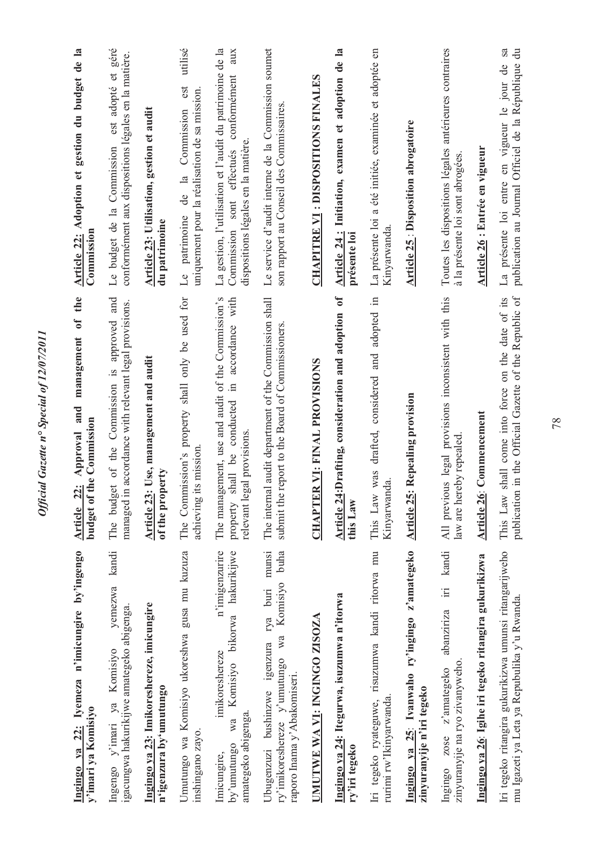| Ingingo ya 22: Iyemeza n'imicungire by'ingengo<br>y'imari ya Komisiyo                                                               | the<br>management of<br>Approval and<br>budget of the Commission<br>Article 22:                                                        | Article 22: Adoption et gestion du budget de la<br>Commission                                                                                      |
|-------------------------------------------------------------------------------------------------------------------------------------|----------------------------------------------------------------------------------------------------------------------------------------|----------------------------------------------------------------------------------------------------------------------------------------------------|
| kandi<br>yemezwa<br>igacungwa hakurikijwe amategeko abigenga.<br>ya Komisiyo<br>Ingengo y'imari                                     | The budget of the Commission is approved and<br>managed in accordance with relevant legal provisions.                                  | est adopté et géré<br>conformément aux dispositions légales en la matière.<br>Le budget de la Commission                                           |
| Ingingo ya 23: Imikoreshereze, imicungire<br>n'igenzura by'umutungo                                                                 | Article 23: Use, management and audit<br>of the property                                                                               | Article 23: Utilisation, gestion et audit<br>du patrimoine                                                                                         |
| Umutungo wa Komisiyo ukoreshwa gusa mu kuzuza<br>inshingano zayo.                                                                   | The Commission's property shall only be used for<br>its mission.<br>achieving                                                          | utilisé<br>est<br>uniquement pour la réalisation de sa mission<br>de la Commission<br>Le patrimoine                                                |
| n'imigenzurire<br>wa Komisiyo bikorwa hakurikijwe<br>imikoreshereze<br>amategeko abigenga.<br>by'umutungo<br>Imicungire,            | The management, use and audit of the Commission's<br>in accordance with<br>shall be conducted<br>relevant legal provisions<br>property | La gestion, l'utilisation et l'audit du patrimoine de la<br>aux<br>conformément<br>dispositions légales en la matière<br>Commission sont effectués |
| munsi<br>buha<br>ry'imikoreshereze y'umutungo wa Komisiyo<br>Ubugenzuzi bushinzwe igenzura rya buri<br>raporo Inama y' Abakomiseri. | The internal audit department of the Commission shall<br>submit the report to the Board of Commissioners.                              | Le service d'audit interne de la Commission soumet<br>son rapport au Conseil des Commissaires                                                      |
| UMUTWE WA VI: INGINGO ZISOZA                                                                                                        | <b>CHAPTER VI: FINAL PROVISIONS</b>                                                                                                    | <b>CHAPITRE VI: DISPOSITIONS FINALES</b>                                                                                                           |
| Ingingo ya 24: Itegurwa, isuzumwa n'itorwa<br>ry'iri tegeko                                                                         | $\sigma$<br>Article 24:Drafting, consideration and adoption<br>this Law                                                                | Article 24: Initiation, examen et adoption de la<br>présente loi                                                                                   |
| Iri tegeko ryateguwe, risuzumwa kandi ritorwa mu<br>rurimi rw'Ikinyarwanda                                                          | drafted, considered and adopted in<br>was<br>Kinyarwanda<br>This Law                                                                   | La présente loi a été initiée, examinée et adoptée en<br>Kinyarwanda                                                                               |
| Ingingo ya 25: Ivanwaho ry'ingingo z'amategeko<br>zinyuranyije n'iri tegeko                                                         | <b>Article 25: Repealing provision</b>                                                                                                 | <b>Article 25: Disposition abrogatoire</b>                                                                                                         |
| iri kandi<br>abanziriza<br>zinyuranyije na ryo zivanyweho.<br>zose z'amategeko<br>Ingingo                                           | All previous legal provisions inconsistent with this<br>law are hereby repealed                                                        | Toutes les dispositions légales antérieures contraires<br>à la présente loi sont abrogées                                                          |
| Ingingo ya 26: Igihe iri tegeko ritangira gukurikizwa                                                                               | Article 26: Commencement                                                                                                               | Article 26 : Entrée en vigueur                                                                                                                     |
| Iri tegeko ritangira gukurikizwa umunsi ritangarijweho<br>mu Igazeti ya Leta ya Repubulika y'u Rwanda.                              | publication in the Official Gazette of the Republic of<br>shall come into force on the date of its<br>This Law                         | La présente loi entre en vigueur le jour de sa<br>publication au Journal Officiel de la République du                                              |